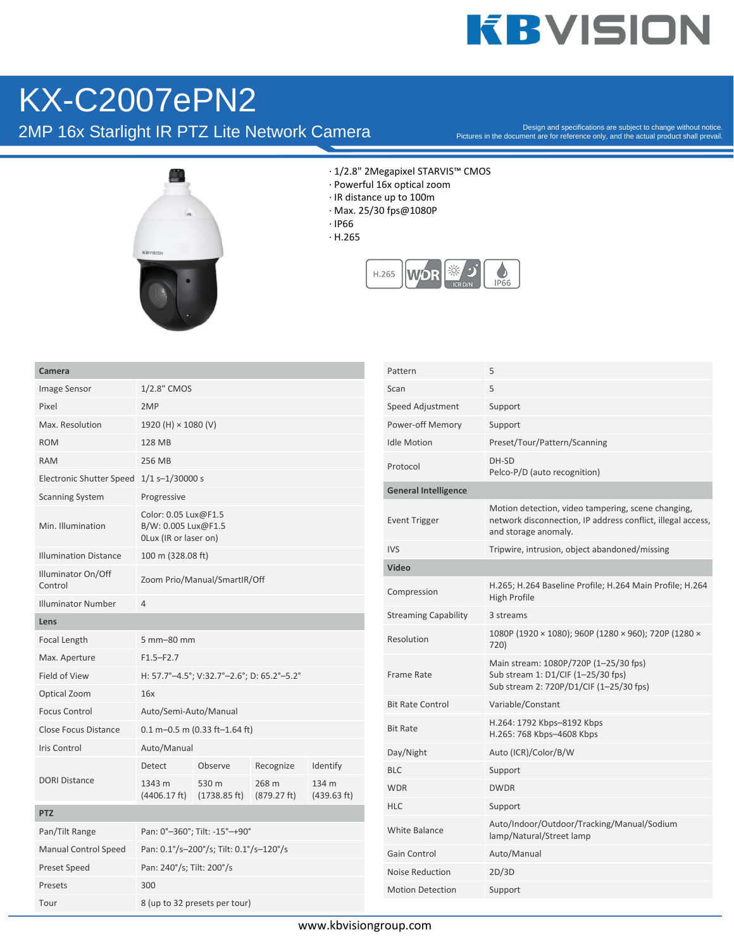## **KBVISION**

## KX-C2007ePN2

2MP 16x Starlight IR PTZ Lite Network Camera

Pictures in the document are for reference only, and the actual product shall prevail.



- · 1/2.8" 2Megapixel STARVIS™ CMOS
- · Powerful 16x optical zoom
- · IR distance up to 100m
- · Max. 25/30 fps@1080P
- · IP66
- · H.265



| Camera                          |                                                                      |                       |                      |                      |  |  |
|---------------------------------|----------------------------------------------------------------------|-----------------------|----------------------|----------------------|--|--|
| Image Sensor                    | 1/2.8" CMOS                                                          |                       |                      |                      |  |  |
| Pixel                           | 2MP                                                                  |                       |                      |                      |  |  |
| Max. Resolution                 | 1920 (H) × 1080 (V)                                                  |                       |                      |                      |  |  |
| <b>ROM</b>                      | 128 MB                                                               |                       |                      |                      |  |  |
| <b>RAM</b>                      | 256 MB                                                               |                       |                      |                      |  |  |
| <b>Electronic Shutter Speed</b> | $1/1$ s-1/30000 s                                                    |                       |                      |                      |  |  |
| <b>Scanning System</b>          | Progressive                                                          |                       |                      |                      |  |  |
| Min. Illumination               | Color: 0.05 Lux@F1.5<br>B/W: 0.005 Lux@F1.5<br>OLux (IR or laser on) |                       |                      |                      |  |  |
| <b>Illumination Distance</b>    | 100 m (328.08 ft)                                                    |                       |                      |                      |  |  |
| Illuminator On/Off<br>Control   | Zoom Prio/Manual/SmartIR/Off                                         |                       |                      |                      |  |  |
| <b>Illuminator Number</b>       | 4                                                                    |                       |                      |                      |  |  |
| Lens                            |                                                                      |                       |                      |                      |  |  |
| Focal Length                    | 5 mm-80 mm                                                           |                       |                      |                      |  |  |
| Max. Aperture                   | $F1.5-F2.7$                                                          |                       |                      |                      |  |  |
| Field of View                   | H: 57.7°-4.5°; V:32.7°-2.6°; D: 65.2°-5.2°                           |                       |                      |                      |  |  |
| Optical Zoom                    | 16x                                                                  |                       |                      |                      |  |  |
| <b>Focus Control</b>            | Auto/Semi-Auto/Manual                                                |                       |                      |                      |  |  |
| <b>Close Focus Distance</b>     | $0.1$ m-0.5 m (0.33 ft-1.64 ft)                                      |                       |                      |                      |  |  |
| Iris Control                    | Auto/Manual                                                          |                       |                      |                      |  |  |
|                                 | Detect                                                               | Observe               | Recognize            | Identify             |  |  |
| <b>DORI Distance</b>            | 1343 m<br>(4406.17 ft)                                               | 530 m<br>(1738.85 ft) | 268 m<br>(879.27 ft) | 134 m<br>(439.63 ft) |  |  |
| <b>PTZ</b>                      |                                                                      |                       |                      |                      |  |  |
| Pan/Tilt Range                  | Pan: 0°-360°; Tilt: -15°-+90°                                        |                       |                      |                      |  |  |
| <b>Manual Control Speed</b>     | Pan: 0.1°/s-200°/s; Tilt: 0.1°/s-120°/s                              |                       |                      |                      |  |  |
| <b>Preset Speed</b>             | Pan: 240°/s; Tilt: 200°/s                                            |                       |                      |                      |  |  |
| Presets                         | 300                                                                  |                       |                      |                      |  |  |
| Tour                            | 8 (up to 32 presets per tour)                                        |                       |                      |                      |  |  |

| Pattern                     | 5                                                                                                                                         |  |  |  |
|-----------------------------|-------------------------------------------------------------------------------------------------------------------------------------------|--|--|--|
| Scan                        | 5                                                                                                                                         |  |  |  |
| Speed Adjustment            | Support                                                                                                                                   |  |  |  |
| Power-off Memory            | Support                                                                                                                                   |  |  |  |
| <b>Idle Motion</b>          | Preset/Tour/Pattern/Scanning                                                                                                              |  |  |  |
| Protocol                    | DH-SD<br>Pelco-P/D (auto recognition)                                                                                                     |  |  |  |
| <b>General Intelligence</b> |                                                                                                                                           |  |  |  |
| <b>Event Trigger</b>        | Motion detection, video tampering, scene changing,<br>network disconnection, IP address conflict, illegal access,<br>and storage anomaly. |  |  |  |
| <b>IVS</b>                  | Tripwire, intrusion, object abandoned/missing                                                                                             |  |  |  |
| Video                       |                                                                                                                                           |  |  |  |
| Compression                 | H.265; H.264 Baseline Profile; H.264 Main Profile; H.264<br><b>High Profile</b>                                                           |  |  |  |
| <b>Streaming Capability</b> | 3 streams                                                                                                                                 |  |  |  |
| Resolution                  | 1080P (1920 × 1080); 960P (1280 × 960); 720P (1280 ×<br>720)                                                                              |  |  |  |
| Frame Rate                  | Main stream: 1080P/720P (1-25/30 fps)<br>Sub stream 1: D1/CIF (1-25/30 fps)<br>Sub stream 2: 720P/D1/CIF (1-25/30 fps)                    |  |  |  |
| <b>Bit Rate Control</b>     | Variable/Constant                                                                                                                         |  |  |  |
| <b>Bit Rate</b>             | H.264: 1792 Kbps-8192 Kbps<br>H.265: 768 Kbps-4608 Kbps                                                                                   |  |  |  |
| Day/Night                   | Auto (ICR)/Color/B/W                                                                                                                      |  |  |  |
| <b>BLC</b>                  | Support                                                                                                                                   |  |  |  |
| <b>WDR</b>                  | <b>DWDR</b>                                                                                                                               |  |  |  |
| <b>HLC</b>                  | Support                                                                                                                                   |  |  |  |
| White Balance               | Auto/Indoor/Outdoor/Tracking/Manual/Sodium<br>lamp/Natural/Street lamp                                                                    |  |  |  |
| Gain Control                | Auto/Manual                                                                                                                               |  |  |  |
| <b>Noise Reduction</b>      | 2D/3D                                                                                                                                     |  |  |  |
| <b>Motion Detection</b>     | Support                                                                                                                                   |  |  |  |